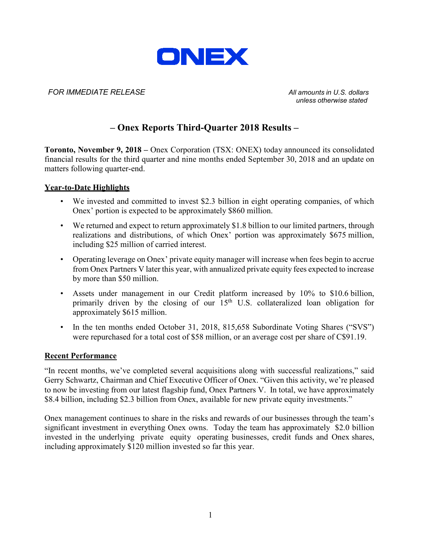

### *FOR IMMEDIATE RELEASE All amounts in U.S. dollars*

*unless otherwise stated*

### **– Onex Reports Third-Quarter 2018 Results –**

**Toronto, November 9, 2018 –** Onex Corporation (TSX: ONEX) today announced its consolidated financial results for the third quarter and nine months ended September 30, 2018 and an update on matters following quarter-end.

#### **Year-to-Date Highlights**

- We invested and committed to invest \$2.3 billion in eight operating companies, of which Onex' portion is expected to be approximately \$860 million.
- We returned and expect to return approximately \$1.8 billion to our limited partners, through realizations and distributions, of which Onex' portion was approximately \$675 million, including \$25 million of carried interest.
- Operating leverage on Onex' private equity manager will increase when fees begin to accrue from Onex Partners V later this year, with annualized private equity fees expected to increase by more than \$50 million.
- Assets under management in our Credit platform increased by 10% to \$10.6 billion, primarily driven by the closing of our  $15<sup>th</sup>$  U.S. collateralized loan obligation for approximately \$615 million.
- In the ten months ended October 31, 2018, 815,658 Subordinate Voting Shares ("SVS") were repurchased for a total cost of \$58 million, or an average cost per share of C\$91.19.

#### **Recent Performance**

"In recent months, we've completed several acquisitions along with successful realizations," said Gerry Schwartz, Chairman and Chief Executive Officer of Onex. "Given this activity, we're pleased to now be investing from our latest flagship fund, Onex Partners V. In total, we have approximately \$8.4 billion, including \$2.3 billion from Onex, available for new private equity investments."

Onex management continues to share in the risks and rewards of our businesses through the team's significant investment in everything Onex owns. Today the team has approximately \$2.0 billion invested in the underlying private equity operating businesses, credit funds and Onex shares, including approximately \$120 million invested so far this year.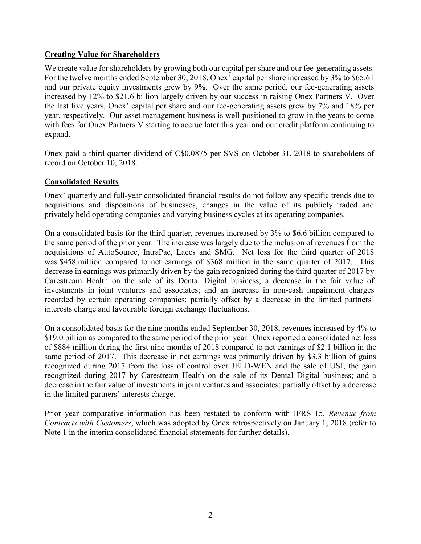### **Creating Value for Shareholders**

We create value for shareholders by growing both our capital per share and our fee-generating assets. For the twelve months ended September 30, 2018, Onex' capital per share increased by 3% to \$65.61 and our private equity investments grew by 9%. Over the same period, our fee-generating assets increased by 12% to \$21.6 billion largely driven by our success in raising Onex Partners V. Over the last five years, Onex' capital per share and our fee-generating assets grew by 7% and 18% per year, respectively. Our asset management business is well-positioned to grow in the years to come with fees for Onex Partners V starting to accrue later this year and our credit platform continuing to expand.

Onex paid a third-quarter dividend of C\$0.0875 per SVS on October 31, 2018 to shareholders of record on October 10, 2018.

### **Consolidated Results**

Onex' quarterly and full-year consolidated financial results do not follow any specific trends due to acquisitions and dispositions of businesses, changes in the value of its publicly traded and privately held operating companies and varying business cycles at its operating companies.

On a consolidated basis for the third quarter, revenues increased by 3% to \$6.6 billion compared to the same period of the prior year. The increase was largely due to the inclusion of revenues from the acquisitions of AutoSource, IntraPac, Laces and SMG.Net loss for the third quarter of 2018 was \$458 million compared to net earnings of \$368 million in the same quarter of 2017. This decrease in earnings was primarily driven by the gain recognized during the third quarter of 2017 by Carestream Health on the sale of its Dental Digital business; a decrease in the fair value of investments in joint ventures and associates; and an increase in non-cash impairment charges recorded by certain operating companies; partially offset by a decrease in the limited partners' interests charge and favourable foreign exchange fluctuations.

On a consolidated basis for the nine months ended September 30, 2018, revenues increased by 4% to \$19.0 billion as compared to the same period of the prior year. Onex reported a consolidated net loss of \$884 million during the first nine months of 2018 compared to net earnings of \$2.1 billion in the same period of 2017. This decrease in net earnings was primarily driven by \$3.3 billion of gains recognized during 2017 from the loss of control over JELD-WEN and the sale of USI; the gain recognized during 2017 by Carestream Health on the sale of its Dental Digital business; and a decrease in the fair value of investments in joint ventures and associates; partially offset by a decrease in the limited partners' interests charge.

Prior year comparative information has been restated to conform with IFRS 15, *Revenue from Contracts with Customers*, which was adopted by Onex retrospectively on January 1, 2018 (refer to Note 1 in the interim consolidated financial statements for further details).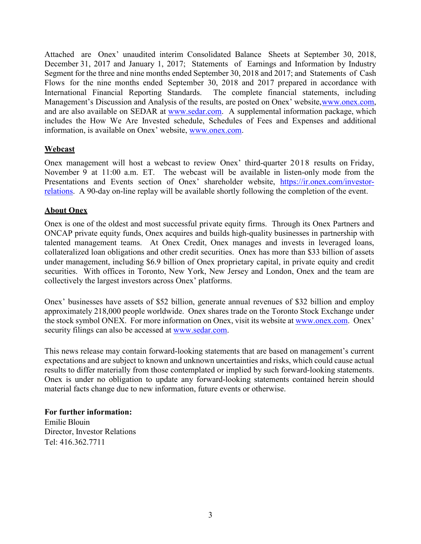Attached are Onex' unaudited interim Consolidated Balance Sheets at September 30, 2018, December 31, 2017 and January 1, 2017; Statements of Earnings and Information by Industry Segment for the three and nine months ended September 30, 2018 and 2017; and Statements of Cash Flows for the nine months ended September 30, 2018 and 2017 prepared in accordance with International Financial Reporting Standards. The complete financial statements, including Management's Discussion and Analysis of the results, are posted on Onex' website, www.onex.com, and are also available on SEDAR at [www.sedar.com.](http://www.sedar.com/) A supplemental information package, which includes the How We Are Invested schedule, Schedules of Fees and Expenses and additional information, is available on Onex' website, [www.onex.com.](http://www.onex.com/)

### **Webcast**

Onex management will host a webcast to review Onex' third-quarter 2018 results on Friday, November 9 at 11:00 a.m. ET. The webcast will be available in listen-only mode from the Presentations and Events section of Onex' shareholder website, [https://ir.onex.com/investor](https://ir.onex.com/investor-relations)[relations.](https://ir.onex.com/investor-relations) A 90-day on-line replay will be available shortly following the completion of the event.

### **About Onex**

Onex is one of the oldest and most successful private equity firms. Through its Onex Partners and ONCAP private equity funds, Onex acquires and builds high-quality businesses in partnership with talented management teams. At Onex Credit, Onex manages and invests in leveraged loans, collateralized loan obligations and other credit securities. Onex has more than \$33 billion of assets under management, including \$6.9 billion of Onex proprietary capital, in private equity and credit securities. With offices in Toronto, New York, New Jersey and London, Onex and the team are collectively the largest investors across Onex' platforms.

Onex' businesses have assets of \$52 billion, generate annual revenues of \$32 billion and employ approximately 218,000 people worldwide. Onex shares trade on the Toronto Stock Exchange under the stock symbol ONEX. For more information on Onex, visit its website at [www.onex.com.](http://www.onex.com/) Onex' security filings can also be accessed at [www.sedar.com.](http://www.sedar.com/)

This news release may contain forward-looking statements that are based on management's current expectations and are subject to known and unknown uncertainties and risks, which could cause actual results to differ materially from those contemplated or implied by such forward-looking statements. Onex is under no obligation to update any forward-looking statements contained herein should material facts change due to new information, future events or otherwise.

### **For further information:**

Emilie Blouin Director, Investor Relations Tel: 416.362.7711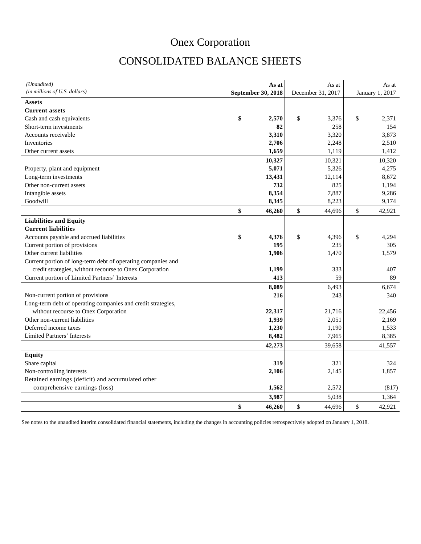# CONSOLIDATED BALANCE SHEETS

| (Unaudited)                                                  | As at              | As at             | As at           |
|--------------------------------------------------------------|--------------------|-------------------|-----------------|
| (in millions of U.S. dollars)                                | September 30, 2018 | December 31, 2017 | January 1, 2017 |
| Assets                                                       |                    |                   |                 |
| <b>Current assets</b>                                        |                    |                   |                 |
| Cash and cash equivalents                                    | \$<br>2,570        | \$<br>3,376       | \$<br>2,371     |
| Short-term investments                                       | 82                 | 258               | 154             |
| Accounts receivable                                          | 3,310              | 3,320             | 3,873           |
| Inventories                                                  | 2,706              | 2,248             | 2,510           |
| Other current assets                                         | 1,659              | 1,119             | 1,412           |
|                                                              | 10,327             | 10,321            | 10,320          |
| Property, plant and equipment                                | 5,071              | 5,326             | 4,275           |
| Long-term investments                                        | 13,431             | 12,114            | 8,672           |
| Other non-current assets                                     | 732                | 825               | 1,194           |
| Intangible assets                                            | 8,354              | 7,887             | 9,286           |
| Goodwill                                                     | 8,345              | 8,223             | 9,174           |
|                                                              | \$<br>46,260       | \$<br>44,696      | \$<br>42,921    |
| <b>Liabilities and Equity</b>                                |                    |                   |                 |
| <b>Current liabilities</b>                                   |                    |                   |                 |
| Accounts payable and accrued liabilities                     | \$<br>4,376        | \$<br>4,396       | \$<br>4,294     |
| Current portion of provisions                                | 195                | 235               | 305             |
| Other current liabilities                                    | 1,906              | 1,470             | 1,579           |
| Current portion of long-term debt of operating companies and |                    |                   |                 |
| credit strategies, without recourse to Onex Corporation      | 1,199              | 333               | 407             |
| Current portion of Limited Partners' Interests               | 413                | 59                | 89              |
|                                                              | 8,089              | 6,493             | 6,674           |
| Non-current portion of provisions                            | 216                | 243               | 340             |
| Long-term debt of operating companies and credit strategies, |                    |                   |                 |
| without recourse to Onex Corporation                         | 22,317             | 21,716            | 22,456          |
| Other non-current liabilities                                | 1,939              | 2,051             | 2,169           |
| Deferred income taxes                                        | 1,230              | 1,190             | 1,533           |
| Limited Partners' Interests                                  | 8,482              | 7,965             | 8,385           |
|                                                              | 42,273             | 39,658            | 41,557          |
| <b>Equity</b>                                                |                    |                   |                 |
| Share capital                                                | 319                | 321               | 324             |
| Non-controlling interests                                    | 2,106              | 2,145             | 1,857           |
| Retained earnings (deficit) and accumulated other            |                    |                   |                 |
| comprehensive earnings (loss)                                | 1,562              | 2,572             | (817)           |
|                                                              | 3,987              | 5,038             | 1,364           |
|                                                              | \$<br>46,260       | \$<br>44,696      | \$<br>42,921    |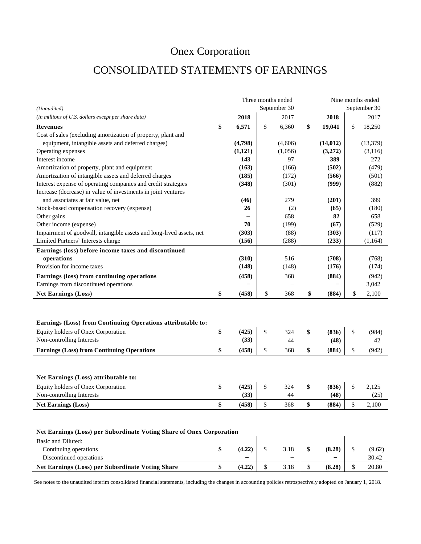## CONSOLIDATED STATEMENTS OF EARNINGS

|                                                                                                                                |                     | Three months ended | Nine months ended |               |    |               |  |  |  |  |  |
|--------------------------------------------------------------------------------------------------------------------------------|---------------------|--------------------|-------------------|---------------|----|---------------|--|--|--|--|--|
| (Unaudited)                                                                                                                    |                     | September 30       |                   |               |    | September 30  |  |  |  |  |  |
| (in millions of U.S. dollars except per share data)                                                                            | 2018                | 2017               |                   | 2018          |    | 2017          |  |  |  |  |  |
| <b>Revenues</b>                                                                                                                | \$<br>6,571         | \$<br>6,360        | \$                | 19,041        | \$ | 18,250        |  |  |  |  |  |
| Cost of sales (excluding amortization of property, plant and                                                                   |                     |                    |                   |               |    |               |  |  |  |  |  |
| equipment, intangible assets and deferred charges)                                                                             | (4,798)             | (4,606)            |                   | (14, 012)     |    | (13,379)      |  |  |  |  |  |
| Operating expenses                                                                                                             | (1,121)             | (1,056)            |                   | (3,272)       |    | (3,116)       |  |  |  |  |  |
| Interest income                                                                                                                | 143                 | 97                 |                   | 389           |    | 272           |  |  |  |  |  |
| Amortization of property, plant and equipment                                                                                  | (163)               | (166)              |                   | (502)         |    | (479)         |  |  |  |  |  |
| Amortization of intangible assets and deferred charges                                                                         | (185)               | (172)              |                   | (566)         |    | (501)         |  |  |  |  |  |
| Interest expense of operating companies and credit strategies                                                                  | (348)               | (301)              |                   | (999)         |    | (882)         |  |  |  |  |  |
| Increase (decrease) in value of investments in joint ventures                                                                  |                     |                    |                   |               |    |               |  |  |  |  |  |
| and associates at fair value, net                                                                                              | (46)                | 279                |                   | (201)         |    | 399           |  |  |  |  |  |
| Stock-based compensation recovery (expense)                                                                                    | 26                  | (2)                |                   | (65)          |    | (180)         |  |  |  |  |  |
| Other gains                                                                                                                    |                     | 658                |                   | 82            |    | 658           |  |  |  |  |  |
| Other income (expense)                                                                                                         | 70                  | (199)              |                   | (67)          |    | (529)         |  |  |  |  |  |
| Impairment of goodwill, intangible assets and long-lived assets, net                                                           | (303)               | (88)               |                   | (303)         |    | (117)         |  |  |  |  |  |
| Limited Partners' Interests charge                                                                                             | (156)               | (288)              |                   | (233)         |    | (1, 164)      |  |  |  |  |  |
| Earnings (loss) before income taxes and discontinued                                                                           |                     |                    |                   |               |    |               |  |  |  |  |  |
| operations                                                                                                                     | (310)               | 516                |                   | (708)         |    | (768)         |  |  |  |  |  |
| Provision for income taxes                                                                                                     | (148)               | (148)              |                   | (176)         |    | (174)         |  |  |  |  |  |
| Earnings (loss) from continuing operations                                                                                     | (458)               | 368                |                   | (884)         |    | (942)         |  |  |  |  |  |
| Earnings from discontinued operations                                                                                          |                     |                    |                   |               |    | 3,042         |  |  |  |  |  |
| <b>Net Earnings (Loss)</b>                                                                                                     | \$<br>(458)         | \$<br>368          | \$                | (884)         | \$ | 2,100         |  |  |  |  |  |
| Earnings (Loss) from Continuing Operations attributable to:<br>Equity holders of Onex Corporation<br>Non-controlling Interests | \$<br>(425)<br>(33) | \$<br>324<br>44    | \$                | (836)<br>(48) | \$ | (984)<br>42   |  |  |  |  |  |
| <b>Earnings (Loss) from Continuing Operations</b>                                                                              | \$<br>(458)         | \$<br>368          | \$                | (884)         | \$ | (942)         |  |  |  |  |  |
| Net Earnings (Loss) attributable to:<br>Equity holders of Onex Corporation<br>Non-controlling Interests                        | \$<br>(425)<br>(33) | \$<br>324<br>44    | \$                | (836)<br>(48) | \$ | 2,125<br>(25) |  |  |  |  |  |
| <b>Net Earnings (Loss)</b>                                                                                                     | \$<br>(458)         | \$<br>368          | \$                | (884)         | \$ | 2,100         |  |  |  |  |  |
| Net Earnings (Loss) per Subordinate Voting Share of Onex Corporation                                                           |                     |                    |                   |               |    |               |  |  |  |  |  |

| Basic and Diluted:                               |        |                          |                          |        |
|--------------------------------------------------|--------|--------------------------|--------------------------|--------|
| Continuing operations                            | (4.22) | 3.18                     | (8.28)                   | (9.62) |
| Discontinued operations                          | -      | $\overline{\phantom{0}}$ | $\overline{\phantom{0}}$ | 30.42  |
| Net Earnings (Loss) per Subordinate Voting Share | (4.22) | 3.18                     | (8.28)                   | 20.80  |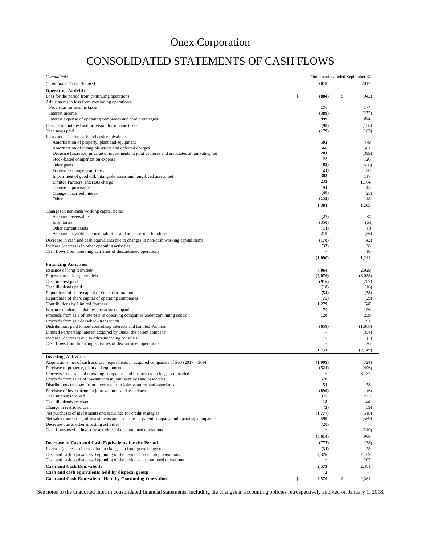# CONSOLIDATED STATEMENTS OF CASH FLOWS

| (Unaudited)                                                                                                                         |                                  | Nine months ended September 30 |
|-------------------------------------------------------------------------------------------------------------------------------------|----------------------------------|--------------------------------|
| (in millions of U.S. dollars)                                                                                                       | 2018                             | 2017                           |
| <b>Operating Activities</b>                                                                                                         |                                  |                                |
| Loss for the period from continuing operations                                                                                      | \$<br>(884)                      | \$<br>(942)                    |
| Adjustments to loss from continuing operations:                                                                                     |                                  |                                |
| Provision for income taxes<br>Interest income                                                                                       | 176<br>(389)                     | 174<br>(272)                   |
| Interest expense of operating companies and credit strategies                                                                       | 999                              | 882                            |
| Loss before interest and provision for income taxes                                                                                 | (98)                             | (158)                          |
| Cash taxes paid                                                                                                                     | (179)                            | (165)                          |
| Items not affecting cash and cash equivalents:                                                                                      |                                  |                                |
| Amortization of property, plant and equipment                                                                                       | 502                              | 479                            |
| Amortization of intangible assets and deferred charges                                                                              | 566<br>201                       | 501                            |
| Decrease (increase) in value of investments in joint ventures and associates at fair value, net<br>Stock-based compensation expense | 28                               | (399)<br>126                   |
| Other gains                                                                                                                         | (82)                             | (658)                          |
| Foreign exchange (gain) loss                                                                                                        | (21)                             | 30                             |
| Impairment of goodwill, intangible assets and long-lived assets, net                                                                | 303                              | 117                            |
| Limited Partners' Interests charge                                                                                                  | 233                              | 1,164                          |
| Change in provisions                                                                                                                | 41                               | 45                             |
| Change in carried interest<br>Other                                                                                                 | (40)<br>(153)                    | (25)<br>148                    |
|                                                                                                                                     | 1,301                            | 1,205                          |
| Changes in non-cash working capital items:                                                                                          |                                  |                                |
| Accounts receivable                                                                                                                 | (27)                             | 80                             |
| Inventories                                                                                                                         | (350)                            | (63)                           |
| Other current assets                                                                                                                | (11)                             | (3)                            |
| Accounts payable, accrued liabilities and other current liabilities                                                                 | 210                              | (56)                           |
| Decrease in cash and cash equivalents due to changes in non-cash working capital items                                              | (178)                            | (42)                           |
| Increase (decrease) in other operating activities<br>Cash flows from operating activities of discontinued operations                | (33)<br>$\overline{\phantom{0}}$ | 38<br>10                       |
|                                                                                                                                     | (1,090)                          | 1,211                          |
| <b>Financing Activities</b>                                                                                                         |                                  |                                |
| Issuance of long-term debt                                                                                                          | 4,064                            | 2,929                          |
| Repayment of long-term debt                                                                                                         | (2,076)                          | (3,058)                        |
| Cash interest paid                                                                                                                  | (916)                            | (787)                          |
| Cash dividends paid                                                                                                                 | (18)                             | (16)                           |
| Repurchase of share capital of Onex Corporation                                                                                     | (54)                             | (78)                           |
| Repurchase of share capital of operating companies                                                                                  | (75)<br>1,279                    | (29)<br>540                    |
| Contributions by Limited Partners<br>Issuance of share capital by operating companies                                               | 70                               | 196                            |
| Proceeds from sale of interests in operating companies under continuing control                                                     | 120                              | 259                            |
| Proceeds from sale-leaseback transaction                                                                                            |                                  | 91                             |
| Distributions paid to non-controlling interests and Limited Partners                                                                | (658)                            | (1,866)                        |
| Limited Partnership interest acquired by Onex, the parent company                                                                   |                                  | (354)                          |
| Increase (decrease) due to other financing activities<br>Cash flows from financing activities of discontinued operations            | 15                               | (2)<br>26                      |
|                                                                                                                                     | 1,751                            | (2, 149)                       |
| <b>Investing Activities</b>                                                                                                         |                                  |                                |
| Acquisitions, net of cash and cash equivalents in acquired companies of \$63 (2017 – \$69)                                          | (1,999)                          | (724)                          |
| Purchase of property, plant and equipment                                                                                           | (521)                            | (496)                          |
| Proceeds from sales of operating companies and businesses no longer controlled                                                      | $\overline{a}$                   | 3,137                          |
| Proceeds from sales of investments in joint ventures and associates                                                                 | 570                              |                                |
| Distributions received from investments in joint ventures and associates                                                            | 51                               | 58                             |
| Purchase of investments in joint ventures and associates<br>Cash interest received                                                  | (899)<br>375                     | (6)<br>273                     |
| Cash dividends received                                                                                                             | 18                               | 44                             |
| Change in restricted cash                                                                                                           | (2)                              | (59)                           |
| Net purchases of investments and securities for credit strategies                                                                   | (1,777)                          | (518)                          |
| Net sales (purchases) of investments and securities at parent company and operating companies                                       | 590                              | (569)                          |
| Decrease due to other investing activities                                                                                          | (20)                             |                                |
| Cash flows used in investing activities of discontinued operations                                                                  |                                  | (240)                          |
|                                                                                                                                     | (3,614)                          | 900                            |
| Decrease in Cash and Cash Equivalents for the Period<br>Increase (decrease) in cash due to changes in foreign exchange rates        | (773)                            | (38)<br>28                     |
| Cash and cash equivalents, beginning of the period – continuing operations                                                          | (31)<br>3,376                    | 2,169                          |
| Cash and cash equivalents, beginning of the period – discontinued operations                                                        |                                  | 202                            |
| <b>Cash and Cash Equivalents</b>                                                                                                    | 2,572                            | 2,361                          |
| Cash and cash equivalents held by disposal group                                                                                    | 2                                |                                |
| Cash and Cash Equivalents Held by Continuing Operations                                                                             | \$<br>2,570                      | \$<br>2,361                    |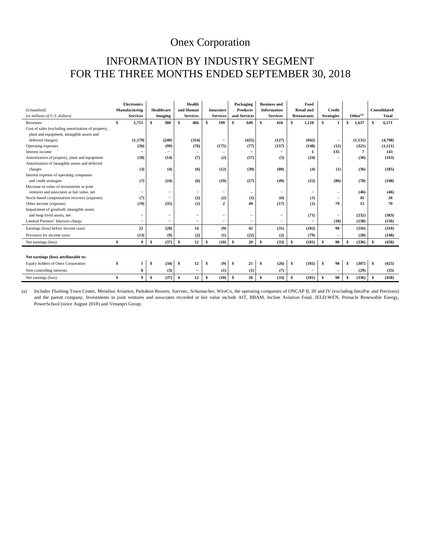## INFORMATION BY INDUSTRY SEGMENT FOR THE THREE MONTHS ENDED SEPTEMBER 30, 2018

| (Unaudited)                                        |    | <b>Electronics</b><br>Manufacturing | Healthcare               | Health<br>and Human      | <b>Insurance</b>  | Packaging<br><b>Products</b> | <b>Business and</b><br><b>Information</b> | Food<br><b>Retail and</b> | <b>Credit</b>            |                      | Consolidated  |
|----------------------------------------------------|----|-------------------------------------|--------------------------|--------------------------|-------------------|------------------------------|-------------------------------------------|---------------------------|--------------------------|----------------------|---------------|
| (in millions of U.S. dollars)                      |    | <b>Services</b>                     | <b>Imaging</b>           | <b>Services</b>          | <b>Services</b>   | and Services                 | <b>Services</b>                           | <b>Restaurants</b>        | <b>Strategies</b>        | Other <sup>(a)</sup> | <b>Total</b>  |
| Revenues                                           | \$ | 1,711                               | $\mathbf{s}$<br>388      | $\mathbf{s}$<br>466      | \$<br>199         | 649<br>\$                    | \$<br>410                                 | 1,110<br>\$               | \$<br>1                  | \$<br>1,637          | 6,571<br>\$   |
| Cost of sales (excluding amortization of property, |    |                                     |                          |                          |                   |                              |                                           |                           |                          |                      |               |
| plant and equipment, intangible assets and         |    |                                     |                          |                          |                   |                              |                                           |                           |                          |                      |               |
| deferred charges)                                  |    | (1,579)                             | (240)                    | (354)                    | $\qquad \qquad -$ | (425)                        | (127)                                     | (942)                     | $\qquad \qquad -$        | (1, 131)             | (4,798)       |
| Operating expenses                                 |    | (56)                                | (99)                     | (76)                     | (175)             | (77)                         | (157)                                     | (148)                     | (12)                     | (321)                | (1, 121)      |
| Interest income                                    |    |                                     | -                        |                          | -                 |                              |                                           |                           | 135                      |                      | 143           |
| Amortization of property, plant and equipment      |    | (18)                                | (14)                     | (7)                      | (2)               | (57)                         | (5)                                       | (24)                      | $\overline{\phantom{0}}$ | (36)                 | (163)         |
| Amortization of intangible assets and deferred     |    |                                     |                          |                          |                   |                              |                                           |                           |                          |                      |               |
| charges                                            |    | (3)                                 | (4)                      | (6)                      | (12)              | (39)                         | (80)                                      | (4)                       | (1)                      | (36)                 | (185)         |
| Interest expense of operating companies            |    |                                     |                          |                          |                   |                              |                                           |                           |                          |                      |               |
| and credit strategies                              |    | (7)                                 | (24)                     | (6)                      | (19)              | (57)                         | (49)                                      | (22)                      | (86)                     | (78)                 | (348)         |
| Decrease in value of investments in joint          |    |                                     |                          |                          |                   |                              |                                           |                           |                          |                      |               |
| ventures and associates at fair value, net         |    |                                     | $\overline{\phantom{0}}$ | $\qquad \qquad -$        | $\qquad \qquad -$ |                              |                                           | $\overline{\phantom{0}}$  |                          | (46)                 | (46)          |
| Stock-based compensation recovery (expense)        |    | (7)                                 | $\overline{\phantom{0}}$ | (2)                      | (2)               | (1)                          | (6)                                       | (1)                       | $\overline{\phantom{0}}$ | 45                   | 26            |
| Other income (expense)                             |    | (19)                                | (35)                     | (1)                      | 2                 | 49                           | (17)                                      | (1)                       | 79                       | 13                   | 70            |
| Impairment of goodwill, intangible assets          |    |                                     |                          |                          |                   |                              |                                           |                           |                          |                      |               |
| and long-lived assets, net                         |    |                                     | $\overline{\phantom{0}}$ | $\qquad \qquad -$        | -                 | -                            | -                                         | (71)                      | $\qquad \qquad -$        | (232)                | (303)         |
| Limited Partners' Interests charge                 |    |                                     | $\overline{\phantom{a}}$ | -                        | $\qquad \qquad -$ | $\overline{\phantom{0}}$     |                                           | $\qquad \qquad -$         | (18)                     | (138)                | (156)         |
| Earnings (loss) before income taxes                |    | 22                                  | (28)                     | 14                       | (9)               | 42                           | (31)                                      | (102)                     | 98                       | (316)                | (310)         |
| Provision for income taxes                         |    | (13)                                | (9)                      | (2)                      | (1)               | (22)                         | (2)                                       | (79)                      | $\overline{\phantom{0}}$ | (20)                 | (148)         |
| Net earnings (loss)                                | \$ | 9                                   | (37)<br>\$               | \$<br>12                 | \$<br>(10)        | 20<br><b>S</b>               | \$<br>(33)                                | \$<br>(181)               | 98<br>\$                 | (336)<br>S           | (458)<br>¢    |
|                                                    |    |                                     |                          |                          |                   |                              |                                           |                           |                          |                      |               |
| Net earnings (loss) attributable to:               |    |                                     |                          |                          |                   |                              |                                           |                           |                          |                      |               |
| Equity holders of Onex Corporation                 | S  | 1                                   | \$<br>(34)               | 12<br>\$                 | \$<br>(9)         | 21<br>-S                     | (26)<br>-\$                               | \$<br>(181)               | 98<br>\$.                | (307)<br>-\$         | (425)<br>- \$ |
| Non-controlling interests                          |    | 8                                   | (3)                      | $\overline{\phantom{a}}$ | (1)               | (1)                          | (7)                                       | $\overline{\phantom{0}}$  | $\overline{\phantom{0}}$ | (29)                 | (33)          |
| Net earnings (loss)                                | £. | $\boldsymbol{9}$                    | \$<br>(37)               | s.<br>12                 | \$<br>(10)        | -S<br>20                     | \$<br>(33)                                | \$<br>(181)               | 98<br>\$                 | (336)<br>£.          | (458)<br>\$   |

(a) Includes Flushing Town Center, Meridian Aviation, Parkdean Resorts, Survitec, Schumacher, WireCo, the operating companies of ONCAP II, III and IV (excluding IntraPac and Precision) and the parent company. Investments in joint ventures and associates recorded at fair value include AIT, BBAM, Incline Aviation Fund, JELD-WEN, Pinnacle Renewable Energy, PowerSchool (since August 2018) and Venanpri Group.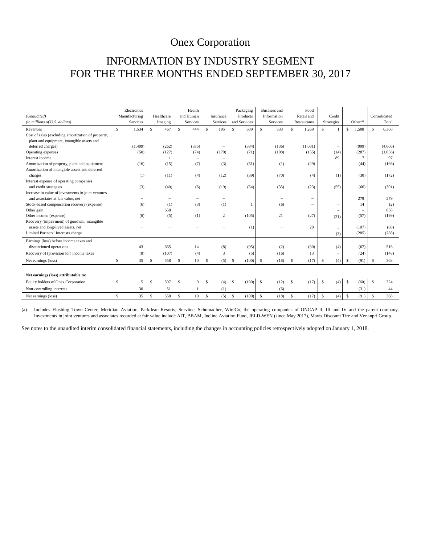## INFORMATION BY INDUSTRY SEGMENT FOR THE THREE MONTHS ENDED SEPTEMBER 30, 2017

|                                                    | Electronics     |                   | Health                   |                          | Packaging                | <b>Business and</b>      | Food                       |                          |                        |                      |
|----------------------------------------------------|-----------------|-------------------|--------------------------|--------------------------|--------------------------|--------------------------|----------------------------|--------------------------|------------------------|----------------------|
| (Unaudited)                                        | Manufacturing   | Healthcare        | and Human                | Insurance                | Products                 | Information              | Retail and                 | Credit                   |                        | Consolidated         |
| (in millions of U.S. dollars)                      | <b>Services</b> | Imaging           | Services                 | Services                 | and Services             | Services                 | Restaurants                | Strategies               | Other <sup>(a)</sup>   | Total                |
| Revenues                                           | \$.<br>1.534    | S<br>467          | S.<br>444                | S<br>195                 | S<br>609                 | <sup>\$</sup><br>333     | \$<br>1.269                | s.                       | <sup>\$</sup><br>1,508 | \$<br>6.360          |
| Cost of sales (excluding amortization of property, |                 |                   |                          |                          |                          |                          |                            |                          |                        |                      |
| plant and equipment, intangible assets and         |                 |                   |                          |                          |                          |                          |                            |                          |                        |                      |
| deferred charges)                                  | (1, 409)        | (262)             | (335)                    | $\qquad \qquad -$        | (384)                    | (136)                    | (1,081)                    | $\overline{\phantom{a}}$ | (999)                  | (4,606)              |
| Operating expenses                                 | (50)            | (127)             | (74)                     | (170)                    | (71)                     | (108)                    | (155)                      | (14)                     | (287)                  | (1,056)              |
| Interest income                                    |                 | $\mathbf{1}$      | -                        | $\qquad \qquad -$        |                          | $\overline{\phantom{0}}$ |                            | 89                       |                        | 97                   |
| Amortization of property, plant and equipment      | (16)            | (15)              | (7)                      | (3)                      | (51)                     | (1)                      | (29)                       |                          | (44)                   | (166)                |
| Amortization of intangible assets and deferred     |                 |                   |                          |                          |                          |                          |                            |                          |                        |                      |
| charges                                            | (1)             | (11)              | (4)                      | (12)                     | (39)                     | (70)                     | (4)                        | (1)                      | (30)                   | (172)                |
| Interest expense of operating companies            |                 |                   |                          |                          |                          |                          |                            |                          |                        |                      |
| and credit strategies                              | (3)             | (40)              | (6)                      | (19)                     | (54)                     | (35)                     | (23)                       | (55)                     | (66)                   | (301)                |
| Increase in value of investments in joint ventures |                 |                   |                          |                          |                          |                          |                            |                          |                        |                      |
| and associates at fair value, net                  | -               | $\qquad \qquad -$ | $\overline{\phantom{0}}$ | $\qquad \qquad -$        |                          | -                        | $=$                        |                          | 279                    | 279                  |
| Stock-based compensation recovery (expense)        | (6)             | (1)               | (3)                      | (1)                      |                          | (6)                      | $\overline{\phantom{0}}$   |                          | 14                     | (2)                  |
| Other gain                                         |                 | 658               | $\overline{\phantom{0}}$ | $\qquad \qquad -$        | -                        | -                        | $\qquad \qquad$            | $\overline{\phantom{a}}$ |                        | 658                  |
| Other income (expense)                             | (6)             | (5)               | (1)                      | $\overline{c}$           | (105)                    | 21                       | (27)                       | (21)                     | (57)                   | (199)                |
| Recovery (impairment) of goodwill, intangible      |                 |                   |                          |                          |                          |                          |                            |                          |                        |                      |
| assets and long-lived assets, net                  |                 | -                 | -                        | -                        | (1)                      | -                        | 20                         |                          | (107)                  | (88)                 |
| Limited Partners' Interests charge                 | -               | $\qquad \qquad -$ | $\overline{\phantom{0}}$ | $\overline{\phantom{0}}$ | $\overline{\phantom{0}}$ | $\overline{\phantom{0}}$ |                            | (3)                      | (285)                  | (288)                |
| Earnings (loss) before income taxes and            |                 |                   |                          |                          |                          |                          |                            |                          |                        |                      |
| discontinued operations                            | 43              | 665               | 14                       | (8)                      | (95)                     | (2)                      | (30)                       | (4)                      | (67)                   | 516                  |
| Recovery of (provision for) income taxes           | (8)             | (107)             | (4)                      | 3                        | (5)                      | (16)                     | 13                         |                          | (24)                   | (148)                |
| Net earnings (loss)                                | S<br>35         | S<br>558          | \$<br>10                 | S<br>(5)                 | S<br>(100)               | $\mathbb{S}$<br>(18)     | $\mathbf{\hat{s}}$<br>(17) | s.<br>(4)                | <sup>\$</sup><br>(91)  | S<br>368             |
|                                                    |                 |                   |                          |                          |                          |                          |                            |                          |                        |                      |
| Net earnings (loss) attributable to:               |                 |                   |                          |                          |                          |                          |                            |                          |                        |                      |
| Equity holders of Onex Corporation                 | S<br>5          | 507<br>S          | \$<br>9                  | S<br>(4)                 | <b>S</b><br>(100)        | (12)<br>-S               | <sup>\$</sup><br>(17)      | $\mathbb{S}$<br>(4)      | <sup>\$</sup><br>(60)  | -S<br>324            |
| Non-controlling interests                          | 30              | 51                |                          | (1)                      | $\overline{\phantom{0}}$ | (6)                      | $\overline{\phantom{0}}$   | -                        | (31)                   | 44                   |
| Net earnings (loss)                                | S<br>35         | 558<br><b>S</b>   | 10<br>S                  | (5)<br>S                 | (100)<br><b>S</b>        | <sup>\$</sup><br>(18)    | <sup>\$</sup><br>(17)      | <sup>\$</sup><br>(4)     | (91)<br><sup>\$</sup>  | 368<br><sup>\$</sup> |

(a) Includes Flushing Town Center, Meridian Aviation, Parkdean Resorts, Survitec, Schumacher, WireCo, the operating companies of ONCAP II, III and IV and the parent company. Investments in joint ventures and associates recorded at fair value include AIT, BBAM, Incline Aviation Fund, JELD-WEN (since May 2017), Mavis Discount Tire and Venanpri Group.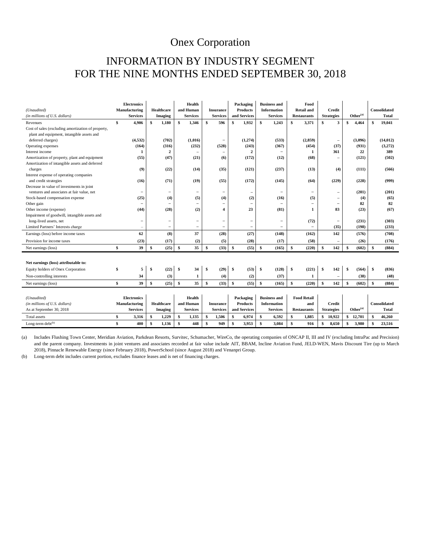## INFORMATION BY INDUSTRY SEGMENT FOR THE NINE MONTHS ENDED SEPTEMBER 30, 2018

| (Unaudited)                                        | <b>Electronics</b><br>Manufacturing | <b>Healthcare</b> |                          | Health<br>and Human |                          |                 | <b>Insurance</b>         |              | Packaging<br><b>Products</b> | <b>Business and</b><br><b>Information</b> |                          |     | Food<br><b>Retail and</b> |        | Credit                   |                               |                      | Consolidated |                     |  |
|----------------------------------------------------|-------------------------------------|-------------------|--------------------------|---------------------|--------------------------|-----------------|--------------------------|--------------|------------------------------|-------------------------------------------|--------------------------|-----|---------------------------|--------|--------------------------|-------------------------------|----------------------|--------------|---------------------|--|
| (in millions of U.S. dollars)                      | <b>Services</b>                     |                   | <b>Imaging</b>           |                     | <b>Services</b>          |                 | <b>Services</b>          |              | and Services                 |                                           | <b>Services</b>          |     | <b>Restaurants</b>        |        | <b>Strategies</b>        |                               | Other <sup>(a)</sup> |              | <b>Total</b>        |  |
| Revenues                                           | \$<br>4,906                         | \$                | 1,180                    | \$                  | 1,346                    | \$              | 596                      | \$           | 1,932                        | \$                                        | 1,243                    | \$  | 3,371                     | \$     | 3                        | \$                            | 4,464                | \$           | 19,041              |  |
| Cost of sales (excluding amortization of property, |                                     |                   |                          |                     |                          |                 |                          |              |                              |                                           |                          |     |                           |        |                          |                               |                      |              |                     |  |
| plant and equipment, intangible assets and         |                                     |                   |                          |                     |                          |                 |                          |              |                              |                                           |                          |     |                           |        |                          |                               |                      |              |                     |  |
| deferred charges)                                  | (4,532)                             |                   | (702)                    |                     | (1,016)                  |                 | $\overline{\phantom{m}}$ |              | (1,274)                      |                                           | (533)                    |     | (2, 859)                  |        | $\overline{\phantom{0}}$ |                               | (3,096)              |              | (14, 012)           |  |
| Operating expenses                                 | (164)                               |                   | (316)                    |                     | (232)                    |                 | (528)                    |              | (243)                        |                                           | (367)                    |     | (454)                     |        | (37)                     |                               | (931)                |              | (3,272)             |  |
| Interest income                                    | 1                                   |                   | $\overline{2}$           |                     |                          |                 |                          |              | $\mathbf{2}$                 |                                           |                          |     | 1                         |        | 361                      |                               | 22                   |              | 389                 |  |
| Amortization of property, plant and equipment      | (55)                                |                   | (47)                     |                     | (21)                     |                 | (6)                      |              | (172)                        |                                           | (12)                     |     | (68)                      |        | $\overline{\phantom{0}}$ |                               | (121)                |              | (502)               |  |
| Amortization of intangible assets and deferred     |                                     |                   |                          |                     |                          |                 |                          |              |                              |                                           |                          |     |                           |        |                          |                               |                      |              |                     |  |
| charges                                            | (9)                                 |                   | (22)                     |                     | (14)                     |                 | (35)                     |              | (121)                        |                                           | (237)                    |     | (13)                      |        | (4)                      |                               | (111)                |              | (566)               |  |
| Interest expense of operating companies            |                                     |                   |                          |                     |                          |                 |                          |              |                              |                                           |                          |     |                           |        |                          |                               |                      |              |                     |  |
| and credit strategies                              | (16)                                |                   | (71)                     |                     | (19)                     |                 | (55)                     |              | (172)                        |                                           | (145)                    |     | (64)                      |        | (229)                    |                               | (228)                |              | (999)               |  |
| Decrease in value of investments in joint          |                                     |                   |                          |                     |                          |                 |                          |              |                              |                                           |                          |     |                           |        |                          |                               |                      |              |                     |  |
| ventures and associates at fair value, net         |                                     |                   | $\overline{\phantom{a}}$ |                     | -                        |                 | $\overline{\phantom{m}}$ |              | $\overline{\phantom{0}}$     |                                           |                          |     | -                         |        | -                        |                               | (201)                |              | (201)               |  |
| Stock-based compensation expense                   | (25)                                |                   | (4)                      |                     | (5)                      |                 | (4)                      |              | (2)                          |                                           | (16)                     |     | (5)                       |        | $\overline{\phantom{0}}$ |                               | (4)                  |              | (65)                |  |
| Other gain                                         | -                                   |                   | -                        |                     | $\overline{\phantom{0}}$ |                 | $\overline{\phantom{m}}$ |              | -                            |                                           |                          |     | $\overline{\phantom{0}}$  |        | $\overline{\phantom{0}}$ |                               | 82                   |              | 82                  |  |
| Other income (expense)                             | (44)                                |                   | (28)                     |                     | (2)                      |                 | 4                        |              | 23                           |                                           | (81)                     |     | 1                         |        | 83                       |                               | (23)                 |              | (67)                |  |
| Impairment of goodwill, intangible assets and      |                                     |                   |                          |                     |                          |                 |                          |              |                              |                                           |                          |     |                           |        |                          |                               |                      |              |                     |  |
| long-lived assets, net                             | ۰                                   |                   | $\qquad \qquad -$        |                     | -                        |                 | $\overline{\phantom{a}}$ |              | -                            |                                           | $\overline{\phantom{0}}$ |     | (72)                      |        | $\overline{\phantom{m}}$ |                               | (231)                |              | (303)               |  |
| Limited Partners' Interests charge                 | $\overline{\phantom{a}}$            |                   | $\overline{\phantom{m}}$ |                     | $\qquad \qquad -$        |                 | $\overline{\phantom{m}}$ |              | $\overline{\phantom{0}}$     |                                           |                          |     |                           |        | (35)                     |                               | (198)                |              | (233)               |  |
| Earnings (loss) before income taxes                | 62                                  |                   | (8)                      |                     | 37                       |                 | (28)                     |              | (27)                         |                                           | (148)                    |     | (162)                     |        | 142                      |                               | (576)                |              | (708)               |  |
| Provision for income taxes                         | (23)                                |                   | (17)                     |                     | (2)                      |                 | (5)                      |              | (28)                         |                                           | (17)                     |     | (58)                      |        | $\overline{\phantom{0}}$ |                               | (26)                 |              | (176)               |  |
| Net earnings (loss)                                | \$<br>39                            | \$                | (25)                     | \$                  | 35                       | \$              | (33)                     | \$           | (55)                         | \$                                        | (165)                    | \$  | (220)                     | \$     | 142                      | \$                            | (602)                | \$           | (884)               |  |
|                                                    |                                     |                   |                          |                     |                          |                 |                          |              |                              |                                           |                          |     |                           |        |                          |                               |                      |              |                     |  |
| Net earnings (loss) attributable to:               |                                     |                   |                          |                     |                          |                 |                          |              |                              |                                           |                          |     |                           |        |                          |                               |                      |              |                     |  |
| Equity holders of Onex Corporation                 | \$<br>5                             | \$                | (22)                     | \$                  | 34                       | -\$             | (29)                     | <b>S</b>     | (53)                         | \$                                        | (128)                    | \$  | (221)                     | -S     | 142                      | \$                            | (564)                | - \$         | (836)               |  |
| Non-controlling interests                          | 34                                  |                   | (3)                      |                     | 1                        |                 | (4)                      |              | (2)                          |                                           | (37)                     |     | 1                         |        |                          |                               | (38)                 |              | (48)                |  |
| Net earnings (loss)                                | \$<br>39                            | $\mathbf{s}$      | (25)                     | $\mathbf{s}$        | 35                       | $\mathbf{s}$    | (33)                     | \$           | (55)                         | $\mathbf{s}$                              | (165)                    | \$  | (220)                     | \$     | 142                      | \$                            | (602)                | \$           | (884)               |  |
|                                                    |                                     |                   |                          |                     |                          |                 |                          |              |                              |                                           |                          |     |                           |        |                          |                               |                      |              |                     |  |
| (Unaudited)                                        | <b>Electronics</b>                  |                   |                          |                     | Health                   |                 |                          |              | Packaging                    |                                           | <b>Business and</b>      |     | <b>Food Retail</b>        |        |                          |                               |                      |              |                     |  |
| (in millions of U.S. dollars)                      | Manufacturing                       |                   | <b>Healthcare</b>        |                     | and Human                |                 | <b>Insurance</b>         |              | <b>Products</b>              | <b>Information</b>                        |                          | and |                           | Credit |                          |                               |                      |              | <b>Consolidated</b> |  |
| As at September 30, 2018                           | <b>Services</b>                     | <b>Imaging</b>    |                          | <b>Services</b>     |                          | <b>Services</b> |                          | and Services |                              | <b>Services</b>                           |                          |     | <b>Restaurants</b>        |        | <b>Strategies</b>        | $\mathbf{Other}^{(\text{a})}$ |                      | <b>Total</b> |                     |  |
| <b>Total</b> assets                                | \$<br>3,316                         | S                 | 1,229                    | \$                  | 1,135                    | S               | 1,506                    | \$           | 6,974                        | \$                                        | 6,592                    | \$  | 1,885                     | \$     | 10,922                   | \$                            | 12,701               | \$           | 46,260              |  |
| Long-term debt <sup>(b)</sup>                      | \$<br>400                           | $\mathbf{s}$      | 1,136                    | \$                  | 448                      | \$              | 949                      | \$           | 3,953                        | \$                                        | 3.084                    | \$  | 916                       | \$     | 8,650                    | \$                            | 3,980                | \$           | 23,516              |  |

(a) Includes Flushing Town Center, Meridian Aviation, Parkdean Resorts, Survitec, Schumacher, WireCo, the operating companies of ONCAP II, III and IV (excluding IntraPac and Precision) and the parent company. Investments in joint ventures and associates recorded at fair value include AIT, BBAM, Incline Aviation Fund, JELD-WEN, Mavis Discount Tire (up to March 2018), Pinnacle Renewable Energy (since February 2018), PowerSchool (since August 2018) and Venanpri Group.

(b) Long-term debt includes current portion, excludes finance leases and is net of financing charges.